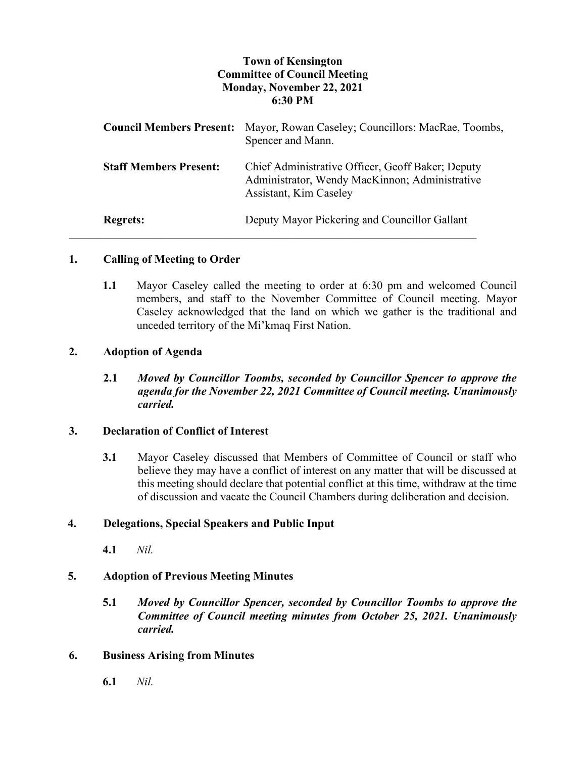# **Town of Kensington Committee of Council Meeting Monday, November 22, 2021 6:30 PM**

| <b>Council Members Present:</b> | Mayor, Rowan Caseley; Councillors: MacRae, Toombs,<br>Spencer and Mann.                                                       |
|---------------------------------|-------------------------------------------------------------------------------------------------------------------------------|
| <b>Staff Members Present:</b>   | Chief Administrative Officer, Geoff Baker; Deputy<br>Administrator, Wendy MacKinnon; Administrative<br>Assistant, Kim Caseley |
| <b>Regrets:</b>                 | Deputy Mayor Pickering and Councillor Gallant                                                                                 |

### **1. Calling of Meeting to Order**

**1.1** Mayor Caseley called the meeting to order at 6:30 pm and welcomed Council members, and staff to the November Committee of Council meeting. Mayor Caseley acknowledged that the land on which we gather is the traditional and unceded territory of the Mi'kmaq First Nation.

### **2. Adoption of Agenda**

**2.1** *Moved by Councillor Toombs, seconded by Councillor Spencer to approve the agenda for the November 22, 2021 Committee of Council meeting. Unanimously carried.*

### **3. Declaration of Conflict of Interest**

**3.1** Mayor Caseley discussed that Members of Committee of Council or staff who believe they may have a conflict of interest on any matter that will be discussed at this meeting should declare that potential conflict at this time, withdraw at the time of discussion and vacate the Council Chambers during deliberation and decision.

### **4. Delegations, Special Speakers and Public Input**

**4.1** *Nil.*

### **5. Adoption of Previous Meeting Minutes**

**5.1** *Moved by Councillor Spencer, seconded by Councillor Toombs to approve the Committee of Council meeting minutes from October 25, 2021. Unanimously carried.*

### **6. Business Arising from Minutes**

**6.1** *Nil.*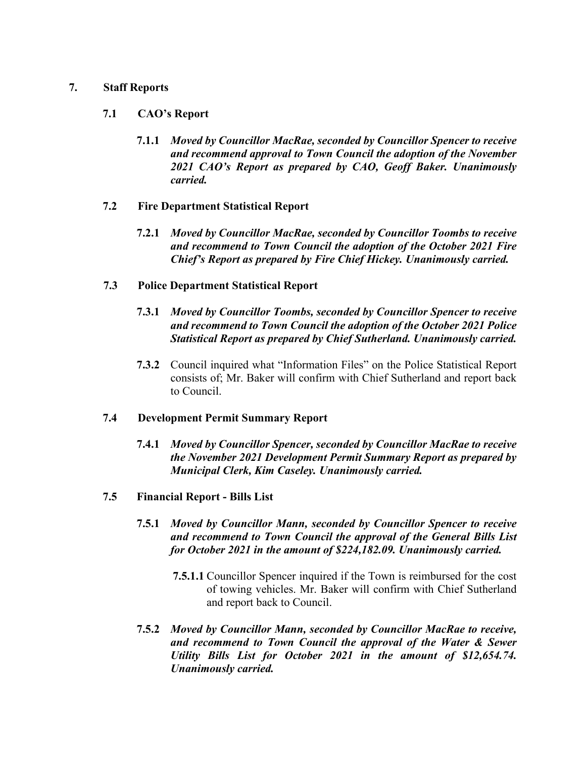#### **7. Staff Reports**

#### **7.1 CAO's Report**

- **7.1.1** *Moved by Councillor MacRae, seconded by Councillor Spencer to receive and recommend approval to Town Council the adoption of the November 2021 CAO's Report as prepared by CAO, Geoff Baker. Unanimously carried.*
- **7.2 Fire Department Statistical Report**
	- **7.2.1** *Moved by Councillor MacRae, seconded by Councillor Toombs to receive and recommend to Town Council the adoption of the October 2021 Fire Chief's Report as prepared by Fire Chief Hickey. Unanimously carried.*
- **7.3 Police Department Statistical Report**
	- **7.3.1** *Moved by Councillor Toombs, seconded by Councillor Spencer to receive and recommend to Town Council the adoption of the October 2021 Police Statistical Report as prepared by Chief Sutherland. Unanimously carried.*
	- **7.3.2** Council inquired what "Information Files" on the Police Statistical Report consists of; Mr. Baker will confirm with Chief Sutherland and report back to Council.

#### **7.4 Development Permit Summary Report**

- **7.4.1** *Moved by Councillor Spencer, seconded by Councillor MacRae to receive the November 2021 Development Permit Summary Report as prepared by Municipal Clerk, Kim Caseley. Unanimously carried.*
- **7.5 Financial Report - Bills List**
	- **7.5.1** *Moved by Councillor Mann, seconded by Councillor Spencer to receive and recommend to Town Council the approval of the General Bills List for October 2021 in the amount of \$224,182.09. Unanimously carried.*
		- **7.5.1.1** Councillor Spencer inquired if the Town is reimbursed for the cost of towing vehicles. Mr. Baker will confirm with Chief Sutherland and report back to Council.
	- **7.5.2** *Moved by Councillor Mann, seconded by Councillor MacRae to receive, and recommend to Town Council the approval of the Water & Sewer Utility Bills List for October 2021 in the amount of \$12,654.74. Unanimously carried.*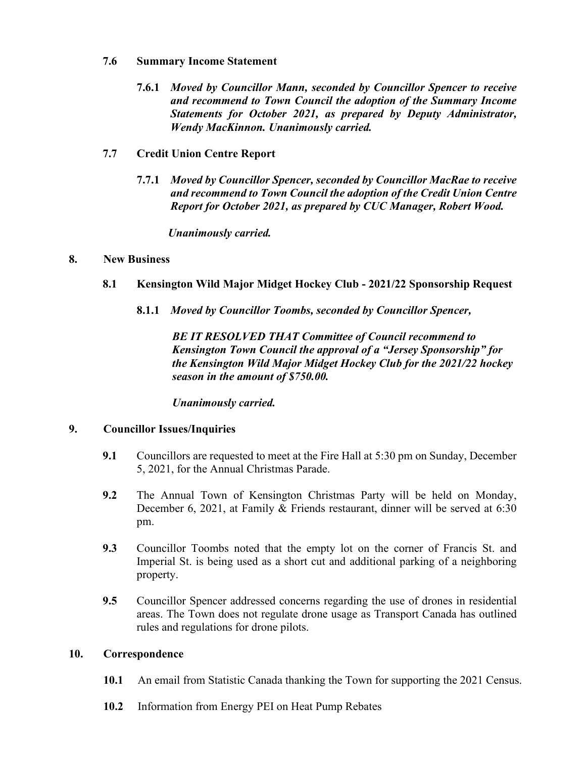#### **7.6 Summary Income Statement**

- **7.6.1** *Moved by Councillor Mann, seconded by Councillor Spencer to receive and recommend to Town Council the adoption of the Summary Income Statements for October 2021, as prepared by Deputy Administrator, Wendy MacKinnon. Unanimously carried.*
- **7.7 Credit Union Centre Report**
	- **7.7.1** *Moved by Councillor Spencer, seconded by Councillor MacRae to receive and recommend to Town Council the adoption of the Credit Union Centre Report for October 2021, as prepared by CUC Manager, Robert Wood.*

*Unanimously carried.*

### **8. New Business**

- **8.1 Kensington Wild Major Midget Hockey Club - 2021/22 Sponsorship Request**
	- **8.1.1** *Moved by Councillor Toombs, seconded by Councillor Spencer,*

*BE IT RESOLVED THAT Committee of Council recommend to Kensington Town Council the approval of a "Jersey Sponsorship" for the Kensington Wild Major Midget Hockey Club for the 2021/22 hockey season in the amount of \$750.00.*

*Unanimously carried.* 

### **9. Councillor Issues/Inquiries**

- **9.1** Councillors are requested to meet at the Fire Hall at 5:30 pm on Sunday, December 5, 2021, for the Annual Christmas Parade.
- **9.2** The Annual Town of Kensington Christmas Party will be held on Monday, December 6, 2021, at Family & Friends restaurant, dinner will be served at 6:30 pm.
- **9.3** Councillor Toombs noted that the empty lot on the corner of Francis St. and Imperial St. is being used as a short cut and additional parking of a neighboring property.
- **9.5** Councillor Spencer addressed concerns regarding the use of drones in residential areas. The Town does not regulate drone usage as Transport Canada has outlined rules and regulations for drone pilots.

### **10. Correspondence**

- **10.1** An email from Statistic Canada thanking the Town for supporting the 2021 Census.
- **10.2** Information from Energy PEI on Heat Pump Rebates